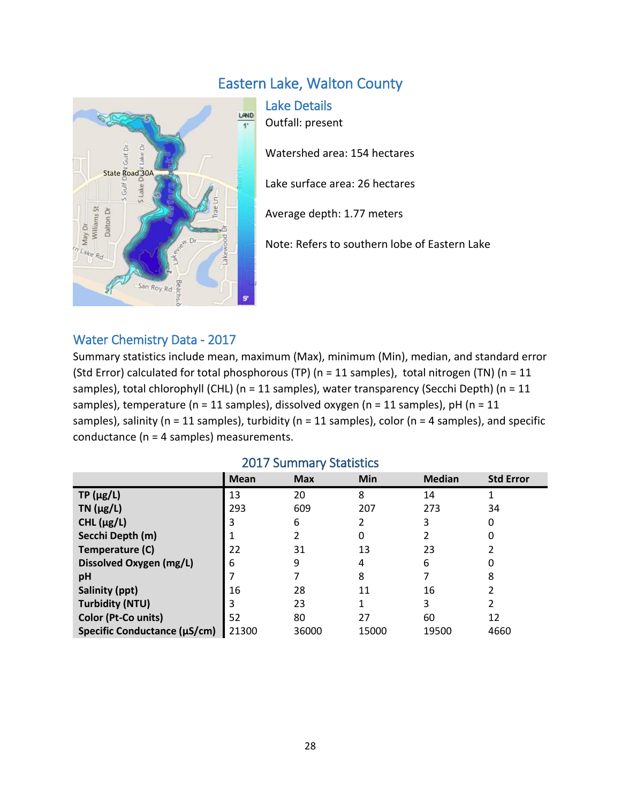# Eastern Lake, Walton County



Lake Details Outfall: present Watershed area: 154 hectares Lake surface area: 26 hectares Average depth: 1.77 meters Note: Refers to southern lobe of Eastern Lake

#### Water Chemistry Data - 2017

Summary statistics include mean, maximum (Max), minimum (Min), median, and standard error (Std Error) calculated for total phosphorous (TP) (n = 11 samples), total nitrogen (TN) (n = 11 samples), total chlorophyll (CHL) (n = 11 samples), water transparency (Secchi Depth) (n = 11 samples), temperature ( $n = 11$  samples), dissolved oxygen ( $n = 11$  samples),  $pH$  ( $n = 11$ samples), salinity ( $n = 11$  samples), turbidity ( $n = 11$  samples), color ( $n = 4$  samples), and specific conductance (n = 4 samples) measurements.

| EUIT DUITING Y DEUCIDEIUD    |             |            |       |               |                  |  |  |  |
|------------------------------|-------------|------------|-------|---------------|------------------|--|--|--|
|                              | <b>Mean</b> | <b>Max</b> | Min   | <b>Median</b> | <b>Std Error</b> |  |  |  |
| $TP(\mu g/L)$                | 13          | 20         | 8     | 14            |                  |  |  |  |
| TN $(\mu g/L)$               | 293         | 609        | 207   | 273           | 34               |  |  |  |
| CHL $(\mu g/L)$              | 3           | 6          |       | 3             | 0                |  |  |  |
| Secchi Depth (m)             |             |            | 0     |               | 0                |  |  |  |
| Temperature (C)              | 22          | 31         | 13    | 23            |                  |  |  |  |
| Dissolved Oxygen (mg/L)      | 6           | 9          | 4     | 6             |                  |  |  |  |
| pH                           |             |            | 8     |               | 8                |  |  |  |
| Salinity (ppt)               | 16          | 28         | 11    | 16            |                  |  |  |  |
| <b>Turbidity (NTU)</b>       |             | 23         |       | 3             |                  |  |  |  |
| <b>Color (Pt-Co units)</b>   | 52          | 80         | 27    | 60            | 12               |  |  |  |
| Specific Conductance (µS/cm) | 21300       | 36000      | 15000 | 19500         | 4660             |  |  |  |

#### 2017 Summary Statistics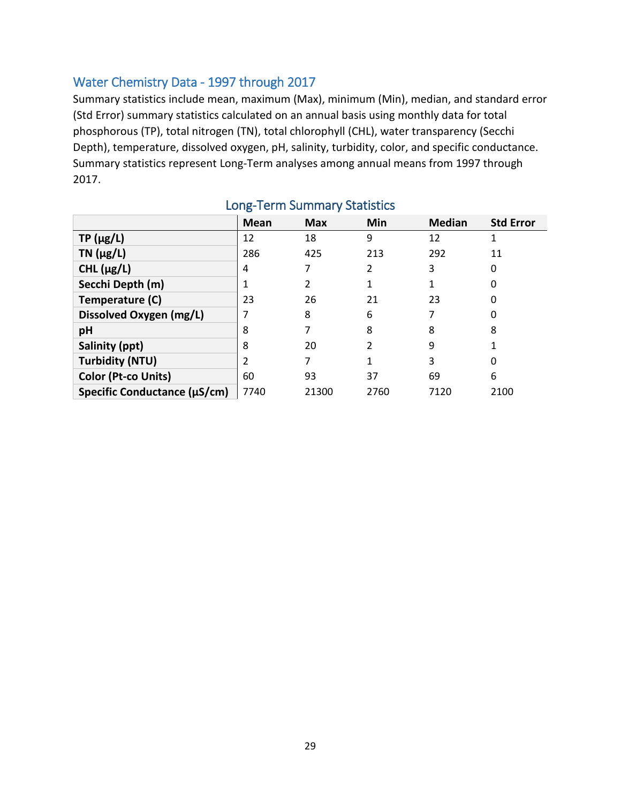### Water Chemistry Data - 1997 through 2017

Summary statistics include mean, maximum (Max), minimum (Min), median, and standard error (Std Error) summary statistics calculated on an annual basis using monthly data for total phosphorous (TP), total nitrogen (TN), total chlorophyll (CHL), water transparency (Secchi Depth), temperature, dissolved oxygen, pH, salinity, turbidity, color, and specific conductance. Summary statistics represent Long-Term analyses among annual means from 1997 through 2017.

|                              | <b>Mean</b> | <b>Max</b> | Min            | <b>Median</b> | <b>Std Error</b> |
|------------------------------|-------------|------------|----------------|---------------|------------------|
| $TP(\mu g/L)$                | 12          | 18         | 9              | 12            |                  |
| TN $(\mu g/L)$               | 286         | 425        | 213            | 292           | 11               |
| CHL $(\mu g/L)$              | 4           |            | 2              | 3             |                  |
| Secchi Depth (m)             |             | 2          |                | 1             |                  |
| Temperature (C)              | 23          | 26         | 21             | 23            | 0                |
| Dissolved Oxygen (mg/L)      |             | 8          | 6              | 7             |                  |
| pH                           | 8           |            | 8              | 8             | 8                |
| Salinity (ppt)               | 8           | 20         | $\overline{2}$ | 9             |                  |
| <b>Turbidity (NTU)</b>       | 2           |            | 1              | 3             | 0                |
| Color (Pt-co Units)          | 60          | 93         | 37             | 69            | 6                |
| Specific Conductance (µS/cm) | 7740        | 21300      | 2760           | 7120          | 2100             |

## Long-Term Summary Statistics